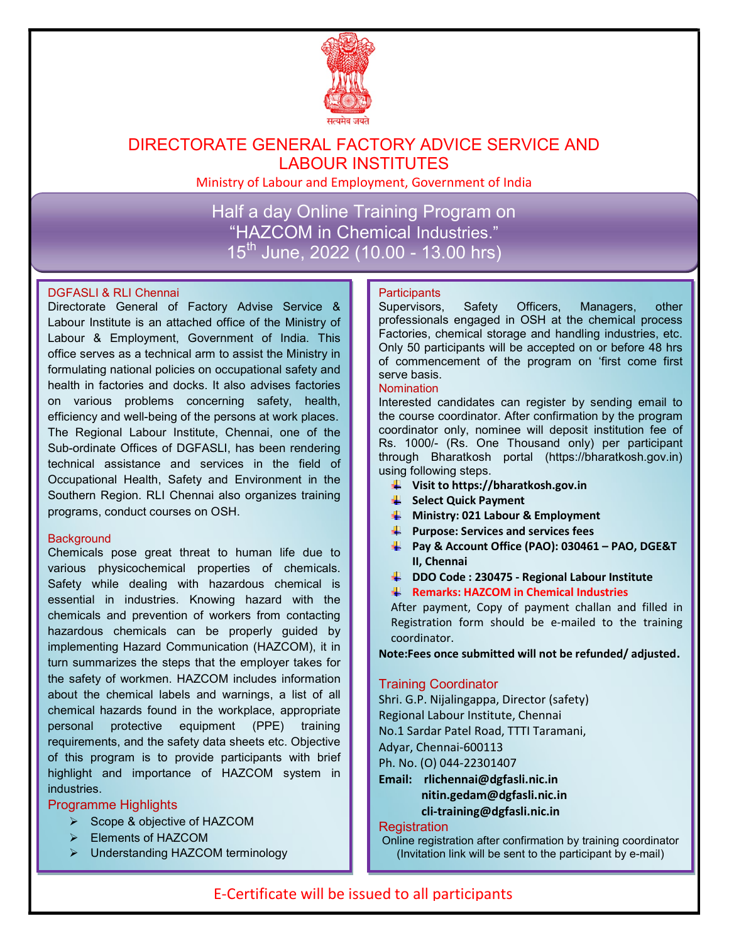

## DIRECTORATE GENERAL FACTORY ADVICE SERVICE AND LABOUR INSTITUTES

Ministry of Labour and Employment, Government of India

Half a day Online Training Program on "HAZCOM in Chemical Industries."  $15^{th}$  June, 2022 (10.00 - 13.00 hrs)

#### DGFASLI & RLI Chennai

Directorate General of Factory Advise Service & Labour Institute is an attached office of the Ministry of Labour & Employment, Government of India. This office serves as a technical arm to assist the Ministry in formulating national policies on occupational safety and health in factories and docks. It also advises factories on various problems concerning safety, health, efficiency and well-being of the persons at work places. The Regional Labour Institute, Chennai, one of the Sub-ordinate Offices of DGFASLI, has been rendering technical assistance and services in the field of Occupational Health, Safety and Environment in the Southern Region. RLI Chennai also organizes training programs, conduct courses on OSH.

#### **Background**

Chemicals pose great threat to human life due to various physicochemical properties of chemicals. Safety while dealing with hazardous chemical is essential in industries. Knowing hazard with the chemicals and prevention of workers from contacting hazardous chemicals can be properly guided by implementing Hazard Communication (HAZCOM), it in turn summarizes the steps that the employer takes for the safety of workmen. HAZCOM includes information about the chemical labels and warnings, a list of all chemical hazards found in the workplace, appropriate personal protective equipment (PPE) training requirements, and the safety data sheets etc. Objective of this program is to provide participants with brief highlight and importance of HAZCOM system in industries.

#### Programme Highlights

- ▶ Scope & objective of HAZCOM
- Elements of HAZCOM
- Understanding HAZCOM terminology

#### **Participants**

Supervisors, Safety Officers, Managers, other professionals engaged in OSH at the chemical process Factories, chemical storage and handling industries, etc. Only 50 participants will be accepted on or before 48 hrs of commencement of the program on 'first come first serve basis.

#### **Nomination**

Interested candidates can register by sending email to the course coordinator. After confirmation by the program coordinator only, nominee will deposit institution fee of Rs. 1000/- (Rs. One Thousand only) per participant through Bharatkosh portal (https://bharatkosh.gov.in) using following steps.

- $\downarrow$  Visit to https://bharatkosh.gov.in
- Select Quick Payment
- **Ministry: 021 Labour & Employment**
- $\bigstar$  Purpose: Services and services fees
- $\downarrow$  Pay & Account Office (PAO): 030461 PAO, DGE&T II, Chennai
- **■** DDO Code : 230475 Regional Labour Institute
- **K** Remarks: HAZCOM in Chemical Industries

After payment, Copy of payment challan and filled in Registration form should be e-mailed to the training coordinator.

Note:Fees once submitted will not be refunded/ adjusted.

#### Training Coordinator

Shri. G.P. Nijalingappa, Director (safety) Regional Labour Institute, Chennai No.1 Sardar Patel Road, TTTI Taramani, Adyar, Chennai-600113 Ph. No. (O) 044-22301407

Email: rlichennai@dgfasli.nic.in nitin.gedam@dgfasli.nic.in cli-training@dgfasli.nic.in

#### **Registration**

Online registration after confirmation by training coordinator (Invitation link will be sent to the participant by e-mail)

### E-Certificate will be issued to all participants